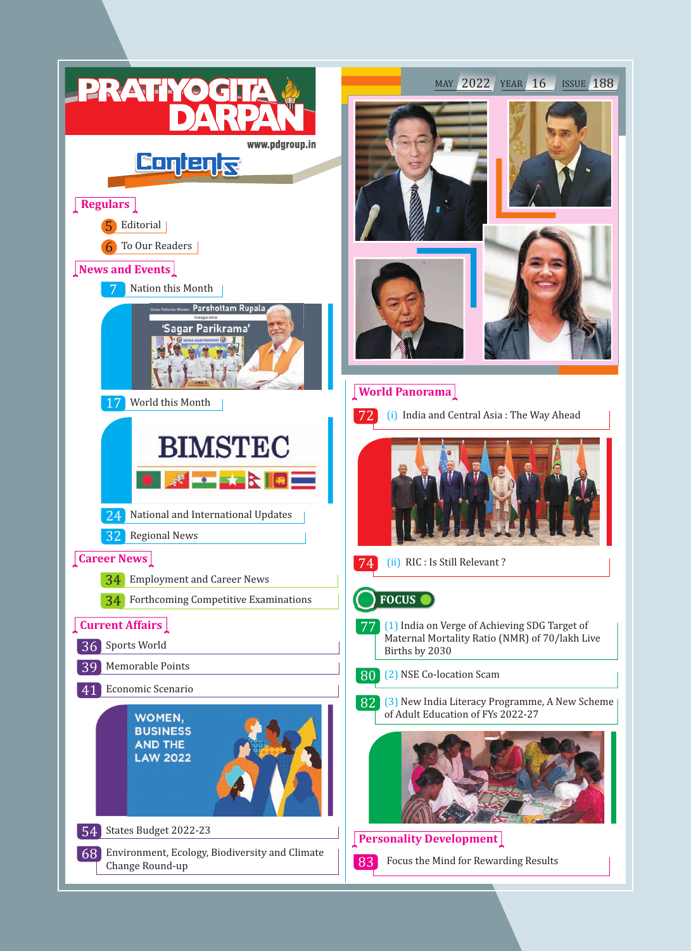